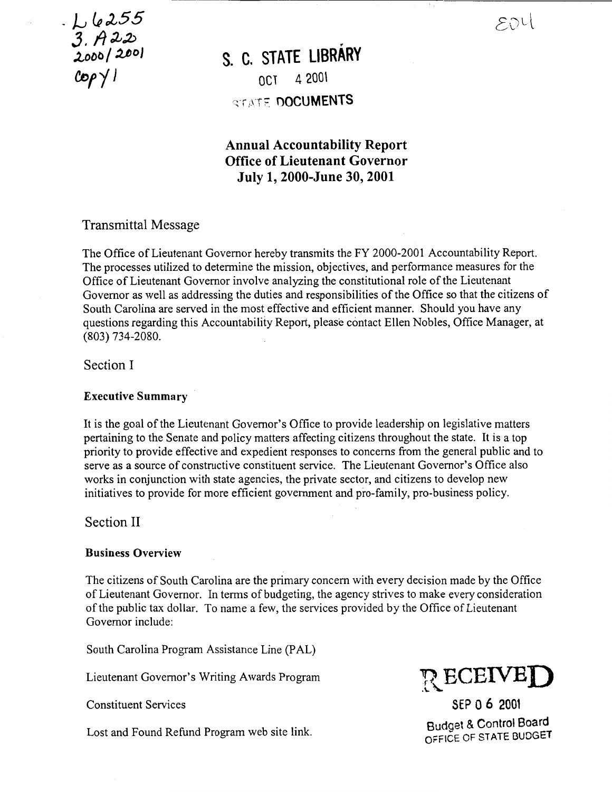EDU

<sup>~</sup>)..\_; lR *e255*   $3.7$  and  $200$  $CopY1$ 

# S. C. **STATE LIBRARY**  OC1 4 200\

STATE DOCUMENTS

### Annual Accountability Report Office of Lieutenant Governor July 1, 2000-June 30, 2001

-------·-------------------------------------------------------------

### Transmittal Message

The Office of Lieutenant Governor hereby transmits the FY 2000-2001 Accountability Report. The processes utilized to determine the mission, objectives, and performance measures for the Office of Lieutenant Governor involve analyzing the constitutional role of the Lieutenant Governor as well as addressing the duties and responsibilities of the Office so that the citizens of South Carolina are served in the most effective and efficient manner. Should you have any questions regarding this Accountability Report, please contact Ellen Nobles, Office Manager, at (803) 734-2080.

Section I

#### Executive Summary

It is the goal of the Lieutenant Governor's Office to provide leadership on legislative matters pertaining to the Senate and policy matters affecting citizens throughout the state. It is a top priority to provide effective and expedient responses to concerns from the general public and to serve as a source of constructive constituent service. The Lieutenant Governor's Office also works in conjunction with state agencies, the private sector, and citizens to develop new initiatives to provide for more efficient government and pro-family, pro-business policy.

Section II

#### Business Overview

The citizens of South Carolina are the primary concern with every decision made by the Office of Lieutenant Governor. In terms of budgeting, the agency strives to make every consideration of the public tax dollar. To name a few, the services provided by the Office of Lieutenant Governor include:

South Carolina Program Assistance Line (PAL)

Lieutenant Governor's Writing Awards Program

Constituent Services

Lost and Found Refund Program web site link.



SEP 0 6 2001 Budget & Control Board OFFICE OF STATE BUDGET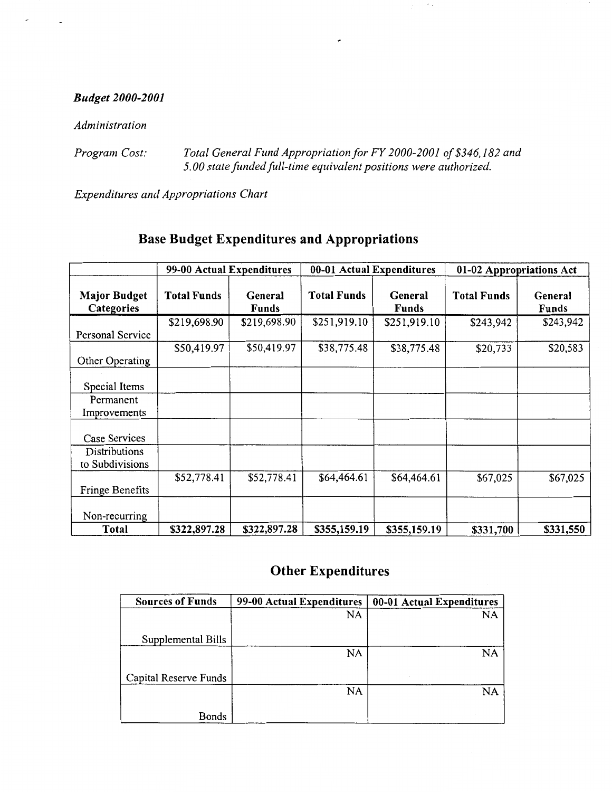### *Budget 2000-2001*

*Administration* 

*Program Cost: Total General Fund Appropriation for FY 2000-2001 of\$346,182 and*  5. *00 state funded full-time equivalent positions were authorized.* 

*Expenditures and Appropriations Chart* 

|                                   | 99-00 Actual Expenditures |                         | 00-01 Actual Expenditures |                         | 01-02 Appropriations Act |                         |
|-----------------------------------|---------------------------|-------------------------|---------------------------|-------------------------|--------------------------|-------------------------|
| <b>Major Budget</b><br>Categories | <b>Total Funds</b>        | General<br><b>Funds</b> | <b>Total Funds</b>        | General<br><b>Funds</b> | <b>Total Funds</b>       | General<br><b>Funds</b> |
| Personal Service                  | \$219,698.90              | \$219,698.90            | \$251,919.10              | \$251,919.10            | \$243,942                | \$243,942               |
| Other Operating                   | \$50,419.97               | \$50,419.97             | \$38,775.48               | \$38,775.48             | \$20,733                 | \$20,583                |
| Special Items                     |                           |                         |                           |                         |                          |                         |
| Permanent<br>Improvements         |                           |                         |                           |                         |                          |                         |
| Case Services                     |                           |                         |                           |                         |                          |                         |
| Distributions<br>to Subdivisions  |                           |                         |                           |                         |                          |                         |
| Fringe Benefits                   | \$52,778.41               | \$52,778.41             | \$64,464.61               | \$64,464.61             | \$67,025                 | \$67,025                |
| Non-recurring                     |                           |                         |                           |                         |                          |                         |
| Total                             | \$322,897.28              | \$322,897.28            | \$355,159.19              | \$355,159.19            | \$331,700                | \$331,550               |

# Base Budget Expenditures and Appropriations

# Other Expenditures

| <b>Sources of Funds</b> | 99-00 Actual Expenditures | 00-01 Actual Expenditures |
|-------------------------|---------------------------|---------------------------|
|                         | NA                        | NA                        |
|                         |                           |                           |
| Supplemental Bills      |                           |                           |
|                         | NA                        | NA                        |
|                         |                           |                           |
| Capital Reserve Funds   |                           |                           |
|                         | NA                        | NA                        |
|                         |                           |                           |
| <b>Bonds</b>            |                           |                           |